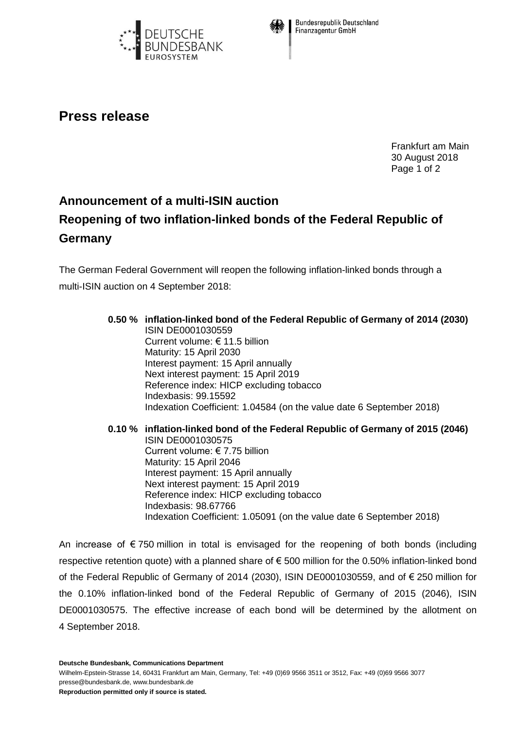



**Bundesrepublik Deutschland Finanzagentur GmbH** 

## **Press release**

Frankfurt am Main 30 August 2018 Page 1 of 2

## **Announcement of a multi-ISIN auction Reopening of two inflation-linked bonds of the Federal Republic of Germany**

The German Federal Government will reopen the following inflation-linked bonds through a multi-ISIN auction on 4 September 2018:

## **0.50 % inflation-linked bond of the Federal Republic of Germany of 2014 (2030)** ISIN DE0001030559 Current volume: € 11.5 billion Maturity: 15 April 2030 Interest payment: 15 April annually Next interest payment: 15 April 2019 Reference index: HICP excluding tobacco Indexbasis: 99.15592 Indexation Coefficient: 1.04584 (on the value date 6 September 2018)

**0.10 % inflation-linked bond of the Federal Republic of Germany of 2015 (2046)** ISIN DE0001030575 Current volume: € 7.75 billion Maturity: 15 April 2046 Interest payment: 15 April annually Next interest payment: 15 April 2019 Reference index: HICP excluding tobacco Indexbasis: 98.67766 Indexation Coefficient: 1.05091 (on the value date 6 September 2018)

An increase of  $\epsilon$  750 million in total is envisaged for the reopening of both bonds (including respective retention quote) with a planned share of € 500 million for the 0.50% inflation-linked bond of the Federal Republic of Germany of 2014 (2030), ISIN DE0001030559, and of € 250 million for the 0.10% inflation-linked bond of the Federal Republic of Germany of 2015 (2046), ISIN DE0001030575. The effective increase of each bond will be determined by the allotment on 4 September 2018.

**Deutsche Bundesbank, Communications Department**

Wilhelm-Epstein-Strasse 14, 60431 Frankfurt am Main, Germany, Tel: +49 (0)69 9566 3511 or 3512, Fax: +49 (0)69 9566 3077 presse@bundesbank.de, www.bundesbank.de